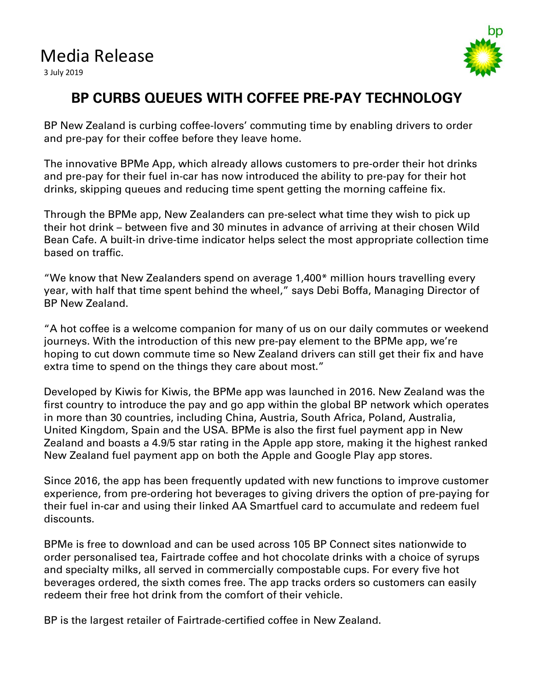## Media Release

3 July 2019



## **BP CURBS QUEUES WITH COFFEE PRE-PAY TECHNOLOGY**

BP New Zealand is curbing coffee-lovers' commuting time by enabling drivers to order and pre-pay for their coffee before they leave home.

The innovative BPMe App, which already allows customers to pre-order their hot drinks and pre-pay for their fuel in-car has now introduced the ability to pre-pay for their hot drinks, skipping queues and reducing time spent getting the morning caffeine fix.

Through the BPMe app, New Zealanders can pre-select what time they wish to pick up their hot drink – between five and 30 minutes in advance of arriving at their chosen Wild Bean Cafe. A built-in drive-time indicator helps select the most appropriate collection time based on traffic.

"We know that New Zealanders spend on average 1,400\* million hours travelling every year, with half that time spent behind the wheel," says Debi Boffa, Managing Director of BP New Zealand.

"A hot coffee is a welcome companion for many of us on our daily commutes or weekend journeys. With the introduction of this new pre-pay element to the BPMe app, we're hoping to cut down commute time so New Zealand drivers can still get their fix and have extra time to spend on the things they care about most."

Developed by Kiwis for Kiwis, the BPMe app was launched in 2016. New Zealand was the first country to introduce the pay and go app within the global BP network which operates in more than 30 countries, including China, Austria, South Africa, Poland, Australia, United Kingdom, Spain and the USA. BPMe is also the first fuel payment app in New Zealand and boasts a 4.9/5 star rating in the Apple app store, making it the highest ranked New Zealand fuel payment app on both the Apple and Google Play app stores.

Since 2016, the app has been frequently updated with new functions to improve customer experience, from pre-ordering hot beverages to giving drivers the option of pre-paying for their fuel in-car and using their linked AA Smartfuel card to accumulate and redeem fuel discounts.

BPMe is free to download and can be used across 105 BP Connect sites nationwide to order personalised tea, Fairtrade coffee and hot chocolate drinks with a choice of syrups and specialty milks, all served in commercially compostable cups. For every five hot beverages ordered, the sixth comes free. The app tracks orders so customers can easily redeem their free hot drink from the comfort of their vehicle.

BP is the largest retailer of Fairtrade-certified coffee in New Zealand.